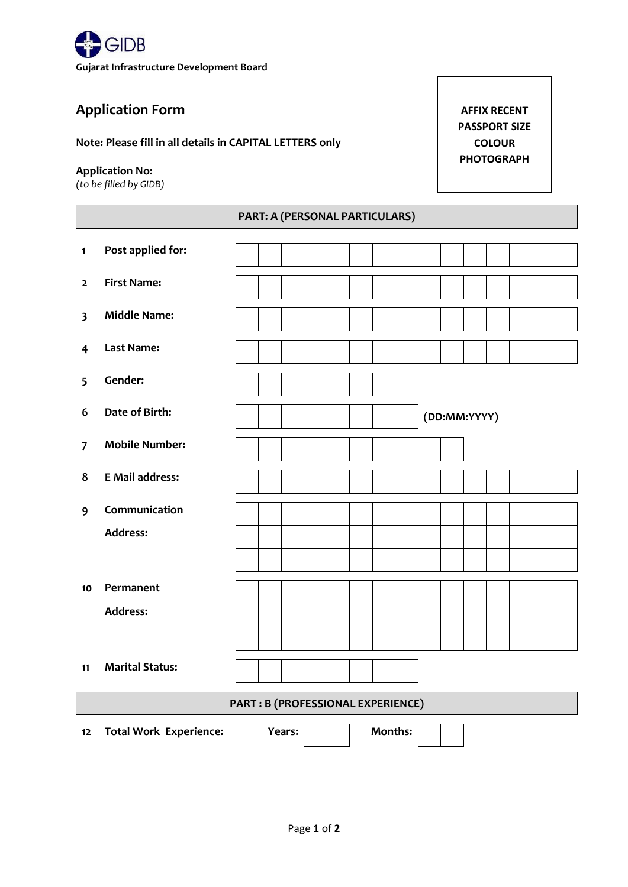

## **Application Form**

**Note: Please fill in all details in CAPITAL LETTERS only**

### **Application No:**

*(to be filled by GIDB)*

**1 Post applied for:**

**AFFIX RECENT PASSPORT SIZE COLOUR PHOTOGRAPH**

# **PART: A (PERSONAL PARTICULARS)**

|                                    | . .                           |  |  |        |  |  |  |                |  |              |  |  |  |  |  |
|------------------------------------|-------------------------------|--|--|--------|--|--|--|----------------|--|--------------|--|--|--|--|--|
| $\overline{\mathbf{2}}$            | <b>First Name:</b>            |  |  |        |  |  |  |                |  |              |  |  |  |  |  |
| $\overline{\mathbf{3}}$            | <b>Middle Name:</b>           |  |  |        |  |  |  |                |  |              |  |  |  |  |  |
| $\overline{\mathbf{r}}$            | Last Name:                    |  |  |        |  |  |  |                |  |              |  |  |  |  |  |
| 5                                  | Gender:                       |  |  |        |  |  |  |                |  |              |  |  |  |  |  |
| 6                                  | Date of Birth:                |  |  |        |  |  |  |                |  | (DD:MM:YYYY) |  |  |  |  |  |
| $\overline{7}$                     | <b>Mobile Number:</b>         |  |  |        |  |  |  |                |  |              |  |  |  |  |  |
| 8                                  | <b>E</b> Mail address:        |  |  |        |  |  |  |                |  |              |  |  |  |  |  |
| 9                                  | Communication                 |  |  |        |  |  |  |                |  |              |  |  |  |  |  |
|                                    | <b>Address:</b>               |  |  |        |  |  |  |                |  |              |  |  |  |  |  |
|                                    |                               |  |  |        |  |  |  |                |  |              |  |  |  |  |  |
| 10                                 | Permanent                     |  |  |        |  |  |  |                |  |              |  |  |  |  |  |
|                                    | <b>Address:</b>               |  |  |        |  |  |  |                |  |              |  |  |  |  |  |
|                                    |                               |  |  |        |  |  |  |                |  |              |  |  |  |  |  |
| 11                                 | <b>Marital Status:</b>        |  |  |        |  |  |  |                |  |              |  |  |  |  |  |
| PART : B (PROFESSIONAL EXPERIENCE) |                               |  |  |        |  |  |  |                |  |              |  |  |  |  |  |
| $12\,$                             | <b>Total Work Experience:</b> |  |  | Years: |  |  |  | <b>Months:</b> |  |              |  |  |  |  |  |